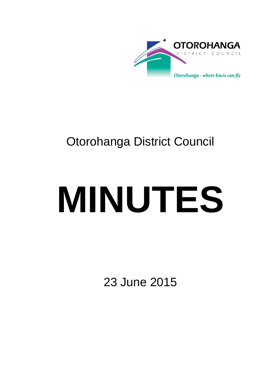

## Otorohanga District Council

# **MINUTES**

23 June 2015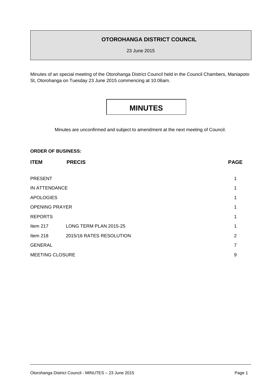#### **OTOROHANGA DISTRICT COUNCIL**

23 June 2015

Minutes of an special meeting of the Otorohanga District Council held in the Council Chambers, Maniapoto St, Otorohanga on Tuesday 23 June 2015 commencing at 10.06am.

### **MINUTES**

Minutes are unconfirmed and subject to amendment at the next meeting of Council.

#### **ORDER OF BUSINESS:**

| <b>ITEM</b>            | <b>PRECIS</b>            | <b>PAGE</b> |
|------------------------|--------------------------|-------------|
| <b>PRESENT</b>         |                          |             |
| IN ATTENDANCE          |                          |             |
| <b>APOLOGIES</b>       |                          |             |
| <b>OPENING PRAYER</b>  |                          |             |
| <b>REPORTS</b>         |                          |             |
| Item 217               | LONG TERM PLAN 2015-25   | 1           |
| Item 218               | 2015/16 RATES RESOLUTION | 2           |
| <b>GENERAL</b>         |                          | 7           |
| <b>MEETING CLOSURE</b> |                          | 9           |
|                        |                          |             |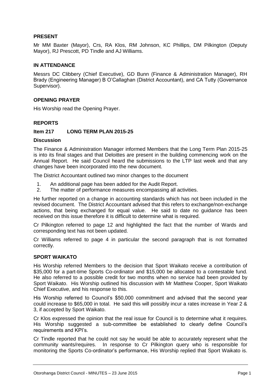#### **PRESENT**

Mr MM Baxter (Mayor), Crs, RA Klos, RM Johnson, KC Phillips, DM Pilkington (Deputy Mayor), RJ Prescott, PD Tindle and AJ Williams.

#### **IN ATTENDANCE**

Messrs DC Clibbery (Chief Executive), GD Bunn (Finance & Administration Manager), RH Brady (Engineering Manager) B O'Callaghan (District Accountant), and CA Tutty (Governance Supervisor).

#### **OPENING PRAYER**

His Worship read the Opening Prayer.

#### **REPORTS**

#### **Item 217 LONG TERM PLAN 2015-25**

#### **Discussion**

The Finance & Administration Manager informed Members that the Long Term Plan 2015-25 is into its final stages and that Deloittes are present in the building commencing work on the Annual Report. He said Council heard the submissions to the LTP last week and that any changes have been incorporated into the new document.

The District Accountant outlined two minor changes to the document

- 1. An additional page has been added for the Audit Report.
- 2. The matter of performance measures encompassing all activities.

He further reported on a change in accounting standards which has not been included in the revised document. The District Accountant advised that this refers to exchange/non-exchange actions, that being exchanged for equal value. He said to date no guidance has been received on this issue therefore it is difficult to determine what is required.

Cr Pilkington referred to page 12 and highlighted the fact that the number of Wards and corresponding text has not been updated.

Cr Williams referred to page 4 in particular the second paragraph that is not formatted correctly.

#### **SPORT WAIKATO**

His Worship referred Members to the decision that Sport Waikato receive a contribution of \$35,000 for a part-time Sports Co-ordinator and \$15,000 be allocated to a contestable fund. He also referred to a possible credit for two months when no service had been provided by Sport Waikato. His Worship outlined his discussion with Mr Matthew Cooper, Sport Waikato Chief Executive, and his response to this.

His Worship referred to Council's \$50,000 commitment and advised that the second year could increase to \$65,000 in total. He said this will possibly incur a rates increase in Year 2 & 3, if accepted by Sport Waikato.

Cr Klos expressed the opinion that the real issue for Council is to determine what it requires. His Worship suggested a sub-committee be established to clearly define Council's requirements and KPI's.

Cr Tindle reported that he could not say he would be able to accurately represent what the community wants/requires. In response to Cr Pilkington query who is responsible for monitoring the Sports Co-ordinator's performance, His Worship replied that Sport Waikato is.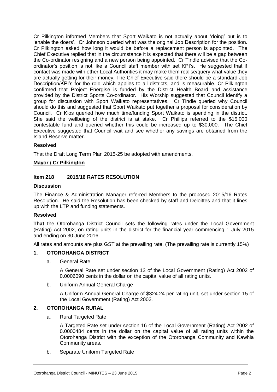Cr Pilkington informed Members that Sport Waikato is not actually about 'doing' but is to 'enable the doers'. Cr Johnson queried what was the original Job Description for the position. Cr Pilkington asked how long it would be before a replacement person is appointed. The Chief Executive replied that in the circumstance it is expected that there will be a gap between the Co-ordinator resigning and a new person being appointed. Cr Tindle advised that the Coordinator's position is not like a Council staff member with set KPI's. He suggested that if contact was made with other Local Authorities it may make them realise/query what value they are actually getting for their money. The Chief Executive said there should be a standard Job Description/KPI's for the role which applies to all districts, and is measurable. Cr Pilkington confirmed that Project Energise is funded by the District Health Board and assistance provided by the District Sports Co-ordinator. His Worship suggested that Council identify a group for discussion with Sport Waikato representatives. Cr Tindle queried why Council should do this and suggested that Sport Waikato put together a proposal for consideration by Council. Cr Klos queried how much time/funding Sport Waikato is spending in the district. She said the wellbeing of the district is at stake. Cr Phillips referred to the \$15,000 contestable fund and queried whether this could be increased up to \$30,000. The Chief Executive suggested that Council wait and see whether any savings are obtained from the Island Reserve matter.

#### **Resolved**

That the Draft Long Term Plan 2015-25 be adopted with amendments.

#### **Mayor / Cr Pilkington**

#### **Item 218 2015/16 RATES RESOLUTION**

#### **Discussion**

The Finance & Administration Manager referred Members to the proposed 2015/16 Rates Resolution. He said the Resolution has been checked by staff and Deloittes and that it lines up with the LTP and funding statements.

#### **Resolved**

**That** the Otorohanga District Council sets the following rates under the Local Government (Rating) Act 2002, on rating units in the district for the financial year commencing 1 July 2015 and ending on 30 June 2016.

All rates and amounts are plus GST at the prevailing rate. (The prevailing rate is currently 15%)

#### **1. OTOROHANGA DISTRICT**

a. General Rate

A General Rate set under section 13 of the Local Government (Rating) Act 2002 of 0.0006090 cents in the dollar on the capital value of all rating units.

b. Uniform Annual General Charge

A Uniform Annual General Charge of \$324.24 per rating unit, set under section 15 of the Local Government (Rating) Act 2002.

#### **2. OTOROHANGA RURAL**

a. Rural Targeted Rate

A Targeted Rate set under section 16 of the Local Government (Rating) Act 2002 of 0.0000484 cents in the dollar on the capital value of all rating units within the Otorohanga District with the exception of the Otorohanga Community and Kawhia Community areas.

b. Separate Uniform Targeted Rate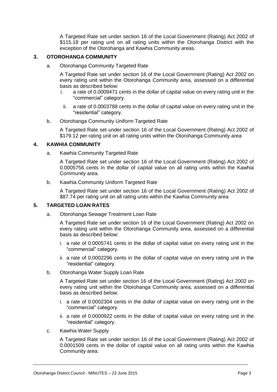A Targeted Rate set under section 16 of the Local Government (Rating) Act 2002 of \$115.18 per rating unit on all rating units within the Otorohanga District with the exception of the Otorohanga and Kawhia Community areas.

#### **3. OTOROHANGA COMMUNITY**

a. Otorohanga Community Targeted Rate

A Targeted Rate set under section 16 of the Local Government (Rating) Act 2002 on every rating unit within the Otorohanga Community area, assessed on a differential basis as described below:

- i. a rate of 0.0009471 cents in the dollar of capital value on every rating unit in the "commercial" category.
	- ii. a rate of 0.0003788 cents in the dollar of capital value on every rating unit in the "residential" category.
- b. Otorohanga Community Uniform Targeted Rate

A Targeted Rate set under section 16 of the Local Government (Rating) Act 2002 of \$179.12 per rating unit on all rating units within the Otorohanga Community area

#### **4. KAWHIA COMMUNITY**

a. Kawhia Community Targeted Rate

A Targeted Rate set under section 16 of the Local Government (Rating) Act 2002 of 0.0005756 cents in the dollar of capital value on all rating units within the Kawhia Community area.

b. Kawhia Community Uniform Targeted Rate

A Targeted Rate set under section 16 of the Local Government (Rating) Act 2002 of \$87.74 per rating unit on all rating units within the Kawhia Community area

#### **5. TARGETED LOAN RATES**

a. Otorohanga Sewage Treatment Loan Rate

A Targeted Rate set under section 16 of the Local Government (Rating) Act 2002 on every rating unit within the Otorohanga Community area, assessed on a differential basis as described below:

- i. a rate of 0.0005741 cents in the dollar of capital value on every rating unit in the "commercial" category.
- ii. a rate of 0.0002296 cents in the dollar of capital value on every rating unit in the "residential" category.
- b. Otorohanga Water Supply Loan Rate

A Targeted Rate set under section 16 of the Local Government (Rating) Act 2002 on every rating unit within the Otorohanga Community area, assessed on a differential basis as described below:

- i. a rate of 0.0002304 cents in the dollar of capital value on every rating unit in the "commercial" category.
- ii. a rate of 0.0000922 cents in the dollar of capital value on every rating unit in the "residential" category.
- c. Kawhia Water Supply

A Targeted Rate set under section 16 of the Local Government (Rating) Act 2002 of 0.0001509 cents in the dollar of capital value on all rating units within the Kawhia Community area.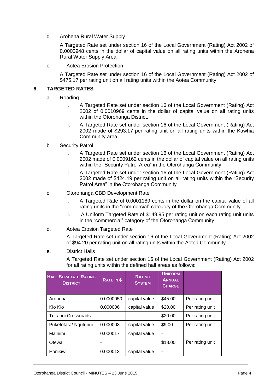d. Arohena Rural Water Supply

A Targeted Rate set under section 16 of the Local Government (Rating) Act 2002 of 0.0000948 cents in the dollar of capital value on all rating units within the Arohena Rural Water Supply Area.

e. Aotea Erosion Protection

A Targeted Rate set under section 16 of the Local Government (Rating) Act 2002 of \$475.17 per rating unit on all rating units within the Aotea Community.

#### **6. TARGETED RATES**

- a. Roading
	- i. A Targeted Rate set under section 16 of the Local Government (Rating) Act 2002 of 0.0010969 cents in the dollar of capital value on all rating units within the Otorohanga District.
	- ii. A Targeted Rate set under section 16 of the Local Government (Rating) Act 2002 made of \$293.17 per rating unit on all rating units within the Kawhia Community area
- b. Security Patrol
	- i. A Targeted Rate set under section 16 of the Local Government (Rating) Act 2002 made of 0.0009162 cents in the dollar of capital value on all rating units within the "Security Patrol Area" in the Otorohanga Community
	- ii. A Targeted Rate set under section 16 of the Local Government (Rating) Act 2002 made of \$424.19 per rating unit on all rating units within the "Security Patrol Area" in the Otorohanga Community
- c. Otorohanga CBD Development Rate
	- i. A Targeted Rate of 0.0001189 cents in the dollar on the capital value of all rating units in the "commercial" category of the Otorohanga Community.
	- ii. A Uniform Targeted Rate of \$149.95 per rating unit on each rating unit units in the "commercial" category of the Otorohanga Community.
- d. Aotea Erosion Targeted Rate

A Targeted Rate set under section 16 of the Local Government (Rating) Act 2002 of \$94.20 per rating unit on all rating units within the Aotea Community.

e. District Halls

A Targeted Rate set under section 16 of the Local Government (Rating) Act 2002 for all rating units within the defined hall areas as follows:

| <b>HALL SEPARATE RATING</b><br><b>DISTRICT</b> | RATE IN \$ | <b>RATING</b><br><b>SYSTEM</b> | <b>UNIFORM</b><br><b>ANNUAL</b><br><b>CHARGE</b> |                 |
|------------------------------------------------|------------|--------------------------------|--------------------------------------------------|-----------------|
| Arohena                                        | 0.0000050  | capital value                  | \$45.00                                          | Per rating unit |
| Kio Kio                                        | 0.000006   | capital value                  | \$20.00                                          | Per rating unit |
| Tokanui Crossroads                             |            |                                | \$20.00                                          | Per rating unit |
| Puketotara/ Ngutunui                           | 0.000003   | capital value                  | \$9.00                                           | Per rating unit |
| Maihiihi                                       | 0.000017   | capital value                  |                                                  |                 |
| Otewa                                          |            |                                | \$18.00                                          | Per rating unit |
| Honikiwi                                       | 0.000013   | capital value                  | ۰                                                |                 |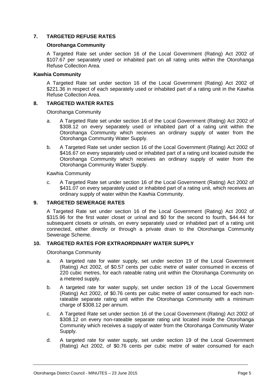#### **7. TARGETED REFUSE RATES**

#### **Otorohanga Community**

A Targeted Rate set under section 16 of the Local Government (Rating) Act 2002 of \$107.67 per separately used or inhabited part on all rating units within the Otorohanga Refuse Collection Area.

#### **Kawhia Community**

A Targeted Rate set under section 16 of the Local Government (Rating) Act 2002 of \$221.36 in respect of each separately used or inhabited part of a rating unit in the Kawhia Refuse Collection Area.

#### **8. TARGETED WATER RATES**

Otorohanga Community

- a. A Targeted Rate set under section 16 of the Local Government (Rating) Act 2002 of \$308.12 on every separately used or inhabited part of a rating unit within the Otorohanga Community which receives an ordinary supply of water from the Otorohanga Community Water Supply.
- b. A Targeted Rate set under section 16 of the Local Government (Rating) Act 2002 of \$416.67 on every separately used or inhabited part of a rating unit located outside the Otorohanga Community which receives an ordinary supply of water from the Otorohanga Community Water Supply.

Kawhia Community

c. A Targeted Rate set under section 16 of the Local Government (Rating) Act 2002 of \$431.07 on every separately used or inhabited part of a rating unit, which receives an ordinary supply of water within the Kawhia Community.

#### **9. TARGETED SEWERAGE RATES**

A Targeted Rate set under section 16 of the Local Government (Rating) Act 2002 of \$315.96 for the first water closet or urinal and \$0 for the second to fourth, \$44.44 for subsequent closets or urinals, on every separately used or inhabited part of a rating unit connected, either directly or through a private drain to the Otorohanga Community Sewerage Scheme.

#### **10. TARGETED RATES FOR EXTRAORDINARY WATER SUPPLY**

Otorohanga Community

- a. A targeted rate for water supply, set under section 19 of the Local Government (Rating) Act 2002, of \$0.57 cents per cubic metre of water consumed in excess of 220 cubic metres, for each rateable rating unit within the Otorohanga Community on a metered supply.
- b. A targeted rate for water supply, set under section 19 of the Local Government (Rating) Act 2002, of \$0.76 cents per cubic metre of water consumed for each nonrateable separate rating unit within the Otorohanga Community with a minimum charge of \$308.12 per annum.
- c. A Targeted Rate set under section 16 of the Local Government (Rating) Act 2002 of \$308.12 on every non-rateable separate rating unit located inside the Otorohanga Community which receives a supply of water from the Otorohanga Community Water Supply.
- d. A targeted rate for water supply, set under section 19 of the Local Government (Rating) Act 2002, of \$0.76 cents per cubic metre of water consumed for each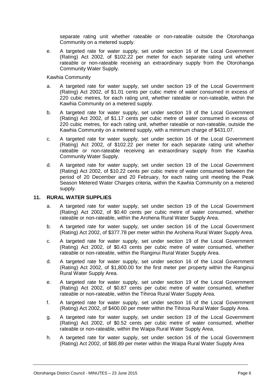separate rating unit whether rateable or non-rateable outside the Otorohanga Community on a metered supply.

e. A targeted rate for water supply, set under section 16 of the Local Government (Rating) Act 2002, of \$102.22 per meter for each separate rating unit whether rateable or non-rateable receiving an extraordinary supply from the Otorohanga Community Water Supply.

Kawhia Community

- a. A targeted rate for water supply, set under section 19 of the Local Government (Rating) Act 2002, of \$1.01 cents per cubic metre of water consumed in excess of 220 cubic metres, for each rating unit, whether rateable or non-rateable, within the Kawhia Community on a metered supply.
- b. A targeted rate for water supply, set under section 19 of the Local Government (Rating) Act 2002, of \$1.17 cents per cubic metre of water consumed in excess of 220 cubic metres, for each rating unit, whether rateable or non-rateable, outside the Kawhia Community on a metered supply, with a minimum charge of \$431.07.
- c. A targeted rate for water supply, set under section 16 of the Local Government (Rating) Act 2002, of \$102.22 per meter for each separate rating unit whether rateable or non-rateable receiving an extraordinary supply from the Kawhia Community Water Supply.
- d. A targeted rate for water supply, set under section 19 of the Local Government (Rating) Act 2002, of \$10.22 cents per cubic metre of water consumed between the period of 20 December and 20 February, for each rating unit meeting the Peak Season Metered Water Charges criteria, within the Kawhia Community on a metered supply.

#### **11. RURAL WATER SUPPLIES**

- a. A targeted rate for water supply, set under section 19 of the Local Government (Rating) Act 2002, of \$0.40 cents per cubic metre of water consumed, whether rateable or non-rateable, within the Arohena Rural Water Supply Area.
- b. A targeted rate for water supply, set under section 16 of the Local Government (Rating) Act 2002, of \$377.78 per meter within the Arohena Rural Water Supply Area.
- c. A targeted rate for water supply, set under section 19 of the Local Government (Rating) Act 2002, of \$0.43 cents per cubic metre of water consumed, whether rateable or non-rateable, within the Ranginui Rural Water Supply Area.
- d. A targeted rate for water supply, set under section 16 of the Local Government (Rating) Act 2002, of \$1,800.00 for the first meter per property within the Ranginui Rural Water Supply Area.
- e. A targeted rate for water supply, set under section 19 of the Local Government (Rating) Act 2002, of \$0.87 cents per cubic metre of water consumed, whether rateable or non-rateable, within the Tihiroa Rural Water Supply Area.
- f. A targeted rate for water supply, set under section 16 of the Local Government (Rating) Act 2002, of \$400.00 per meter within the Tihiroa Rural Water Supply Area.
- g. A targeted rate for water supply, set under section 19 of the Local Government (Rating) Act 2002, of \$0.52 cents per cubic metre of water consumed, whether rateable or non-rateable, within the Waipa Rural Water Supply Area.
- h. A targeted rate for water supply, set under section 16 of the Local Government (Rating) Act 2002, of \$88.89 per meter within the Waipa Rural Water Supply Area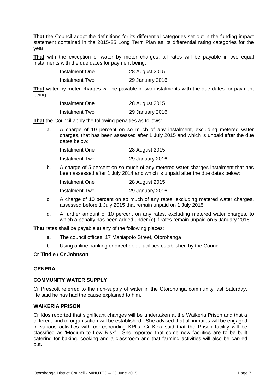**That** the Council adopt the definitions for its differential categories set out in the funding impact statement contained in the 2015-25 Long Term Plan as its differential rating categories for the year.

**That** with the exception of water by meter charges, all rates will be payable in two equal instalments with the due dates for payment being:

| Instalment One | 28 August 2015  |
|----------------|-----------------|
| Instalment Two | 29 January 2016 |

**That** water by meter charges will be payable in two instalments with the due dates for payment being:

| Instalment One | 28 August 2015  |
|----------------|-----------------|
| Instalment Two | 29 January 2016 |

**That** the Council apply the following penalties as follows:

a. A charge of 10 percent on so much of any instalment, excluding metered water charges, that has been assessed after 1 July 2015 and which is unpaid after the due dates below:

| Instalment One | 28 August 2015  |
|----------------|-----------------|
| Instalment Two | 29 January 2016 |

b. A charge of 5 percent on so much of any metered water charges instalment that has been assessed after 1 July 2014 and which is unpaid after the due dates below:

| Instalment One | 28 August 2015  |
|----------------|-----------------|
| Instalment Two | 29 January 2016 |

- c. A charge of 10 percent on so much of any rates, excluding metered water charges, assessed before 1 July 2015 that remain unpaid on 1 July 2015
- d. A further amount of 10 percent on any rates, excluding metered water charges, to which a penalty has been added under (c) if rates remain unpaid on 5 January 2016.

**That** rates shall be payable at any of the following places:

- a. The council offices, 17 Maniapoto Street, Otorohanga
- b. Using online banking or direct debit facilities established by the Council

#### **Cr Tindle / Cr Johnson**

#### **GENERAL**

#### **COMMUNITY WATER SUPPLY**

Cr Prescott referred to the non-supply of water in the Otorohanga community last Saturday. He said he has had the cause explained to him.

#### **WAIKERIA PRISON**

Cr Klos reported that significant changes will be undertaken at the Waikeria Prison and that a different kind of organisation will be established. She advised that all inmates will be engaged in various activities with corresponding KPI's. Cr Klos said that the Prison facility will be classified as 'Medium to Low Risk'. She reported that some new facilities are to be built catering for baking, cooking and a classroom and that farming activities will also be carried out.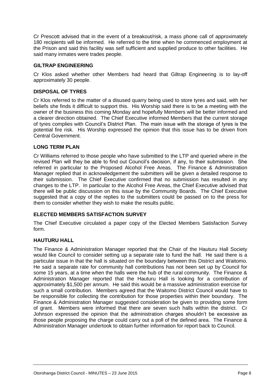Cr Prescott advised that in the event of a breakout/risk, a mass phone call of approximately 180 recipients will be informed. He referred to the time when he commenced employment at the Prison and said this facility was self sufficient and supplied produce to other facilities. He said many inmates were trades people.

#### **GILTRAP ENGINEERING**

Cr Klos asked whether other Members had heard that Giltrap Engineering is to lay-off approximately 30 people.

#### **DISPOSAL OF TYRES**

Cr Klos referred to the matter of a disused quarry being used to store tyres and said, with her beliefs she finds it difficult to support this. His Worship said there is to be a meeting with the owner of the business this coming Monday and hopefully Members will be better informed and a clearer direction obtained. The Chief Executive informed Members that the current storage of tyres complies with Council's District Plan. The main issue with the storage of tyres is the potential fire risk. His Worship expressed the opinion that this issue has to be driven from Central Government.

#### **LONG TERM PLAN**

Cr Williams referred to those people who have submitted to the LTP and queried where in the revised Plan will they be able to find out Council's decision, if any, to their submission. She referred in particular to the Proposed Alcohol Free Areas. The Finance & Administration Manager replied that in acknowledgement the submitters will be given a detailed response to their submission. The Chief Executive confirmed that no submission has resulted in any changes to the LTP. In particular to the Alcohol Free Areas, the Chief Executive advised that there will be public discussion on this issue by the Community Boards. The Chief Executive suggested that a copy of the replies to the submitters could be passed on to the press for them to consider whether they wish to make the results public.

#### **ELECTED MEMBERS SATISFACTION SURVEY**

The Chief Executive circulated a paper copy of the Elected Members Satisfaction Survey form.

#### **HAUTURU HALL**

The Finance & Administration Manager reported that the Chair of the Hauturu Hall Society would like Council to consider setting up a separate rate to fund the hall. He said there is a particular issue in that the hall is situated on the boundary between this District and Waitomo. He said a separate rate for community hall contributions has not been set up by Council for some 15 years, at a time when the halls were the hub of the rural community. The Finance & Administration Manager reported that the Hauturu Hall is looking for a contribution of approximately \$1,500 per annum. He said this would be a massive administration exercise for such a small contribution. Members agreed that the Waitomo District Council would have to be responsible for collecting the contribution for those properties within their boundary. The Finance & Administration Manager suggested consideration be given to providing some form of grant. Members were informed that there are seven such halls within the district. Cr Johnson expressed the opinion that the administration charges shouldn't be excessive as those people proposing the charge could carry out a poll of the defined area. The Finance & Administration Manager undertook to obtain further information for report back to Council.